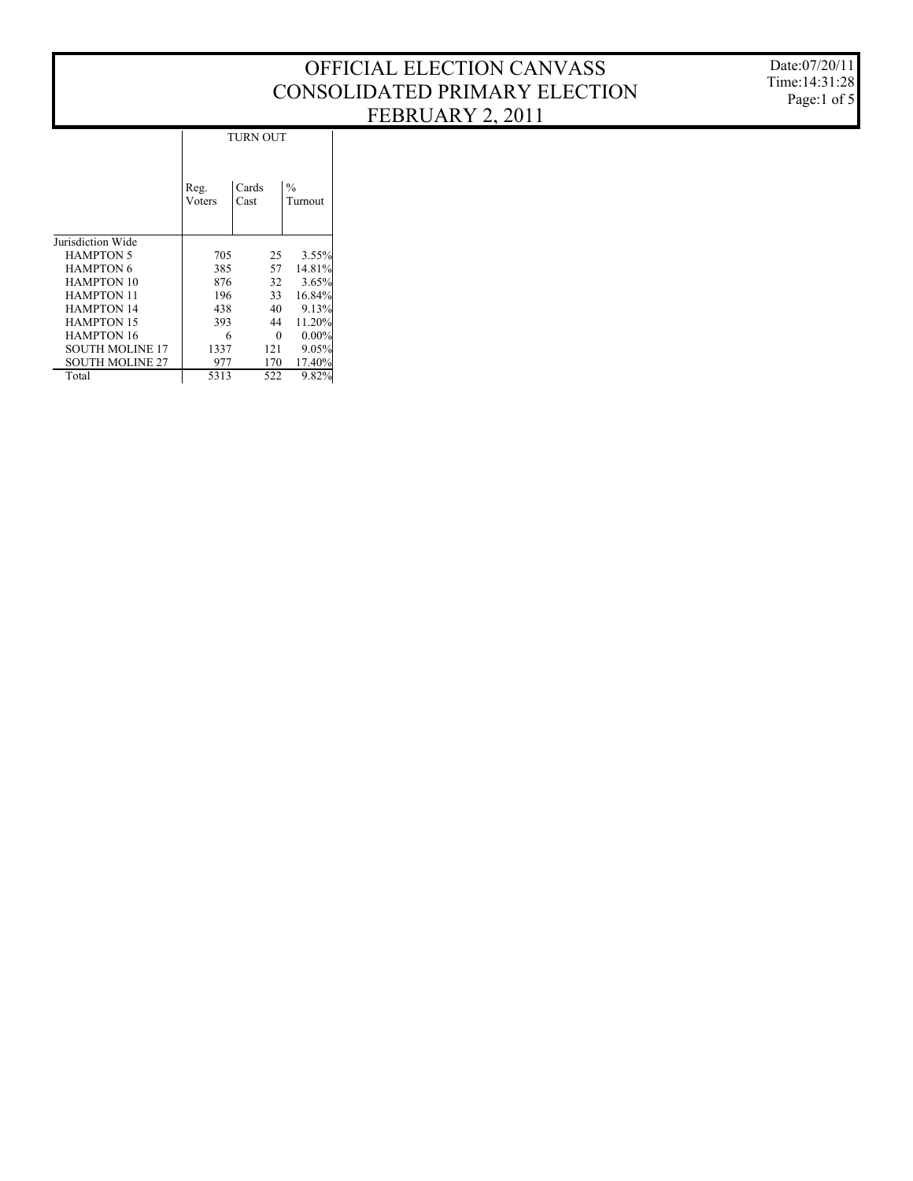|                        | <b>TURN OUT</b> |               |                          |  |  |  |  |  |  |
|------------------------|-----------------|---------------|--------------------------|--|--|--|--|--|--|
|                        | Reg.<br>Voters  | Cards<br>Cast | $\frac{0}{0}$<br>Turnout |  |  |  |  |  |  |
| Jurisdiction Wide      |                 |               |                          |  |  |  |  |  |  |
| <b>HAMPTON 5</b>       | 705             | 25            | 3.55%                    |  |  |  |  |  |  |
| <b>HAMPTON 6</b>       | 385             | 57            | 14.81%                   |  |  |  |  |  |  |
| <b>HAMPTON 10</b>      | 876             | 32            | 3.65%                    |  |  |  |  |  |  |
| <b>HAMPTON 11</b>      | 196             | 33            | 16.84%                   |  |  |  |  |  |  |
| <b>HAMPTON 14</b>      | 438             | 40            | 9.13%                    |  |  |  |  |  |  |
| <b>HAMPTON 15</b>      | 393             | 44            | 11.20%                   |  |  |  |  |  |  |
| <b>HAMPTON 16</b>      | 6               | 0             | $0.00\%$                 |  |  |  |  |  |  |
| <b>SOUTH MOLINE 17</b> | 1337            | 121           | 9.05%                    |  |  |  |  |  |  |
| <b>SOUTH MOLINE 27</b> | 977             | 170           | 17.40%                   |  |  |  |  |  |  |
| Total                  | 5313            | 522           | 9.82%                    |  |  |  |  |  |  |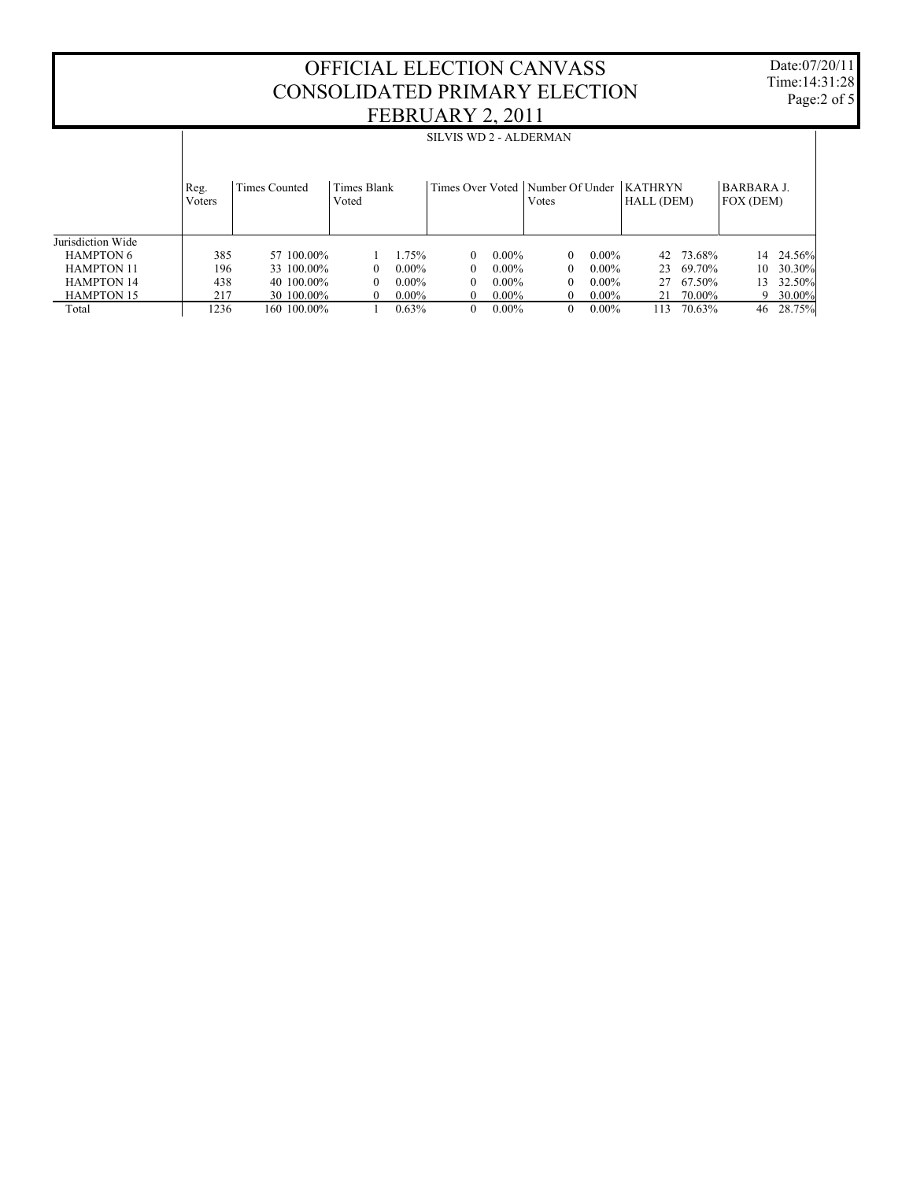Date:07/20/11 Time:14:31:28 Page:2 of 5

|                   | SILVIS WD 2 - ALDERMAN |               |                      |          |   |          |                                             |          |                              |           |                                |           |
|-------------------|------------------------|---------------|----------------------|----------|---|----------|---------------------------------------------|----------|------------------------------|-----------|--------------------------------|-----------|
|                   | Reg.<br>Voters         | Times Counted | Times Blank<br>Voted |          |   |          | Times Over Voted   Number Of Under<br>Votes |          | <b>KATHRYN</b><br>HALL (DEM) |           | <b>BARBARA J.</b><br>FOX (DEM) |           |
| Jurisdiction Wide |                        |               |                      |          |   |          |                                             |          |                              |           |                                |           |
| <b>HAMPTON 6</b>  | 385                    | 57 100.00%    |                      | 1.75%    | 0 | $0.00\%$ | 0                                           | $0.00\%$ |                              | 42 73.68% | 14                             | 24.56%    |
| <b>HAMPTON 11</b> | 196                    | 33 100.00%    | $\Omega$             | $0.00\%$ | 0 | $0.00\%$ | $\theta$                                    | $0.00\%$ |                              | 23 69.70% | 10                             | 30.30%    |
| <b>HAMPTON 14</b> | 438                    | 40 100,00%    | $\Omega$             | $0.00\%$ | 0 | $0.00\%$ | $\Omega$                                    | $0.00\%$ |                              | 27 67.50% | 13                             | 32.50%    |
| <b>HAMPTON 15</b> | 217                    | 30 100,00%    | $\Omega$             | $0.00\%$ | 0 | $0.00\%$ | $\theta$                                    | $0.00\%$ | 21                           | 70.00%    | 9                              | $30.00\%$ |
| Total             | 1236                   | 160 100.00%   |                      | 0.63%    | 0 | $0.00\%$ | $\theta$                                    | $0.00\%$ | 113                          | 70.63%    | 46                             | 28.75%    |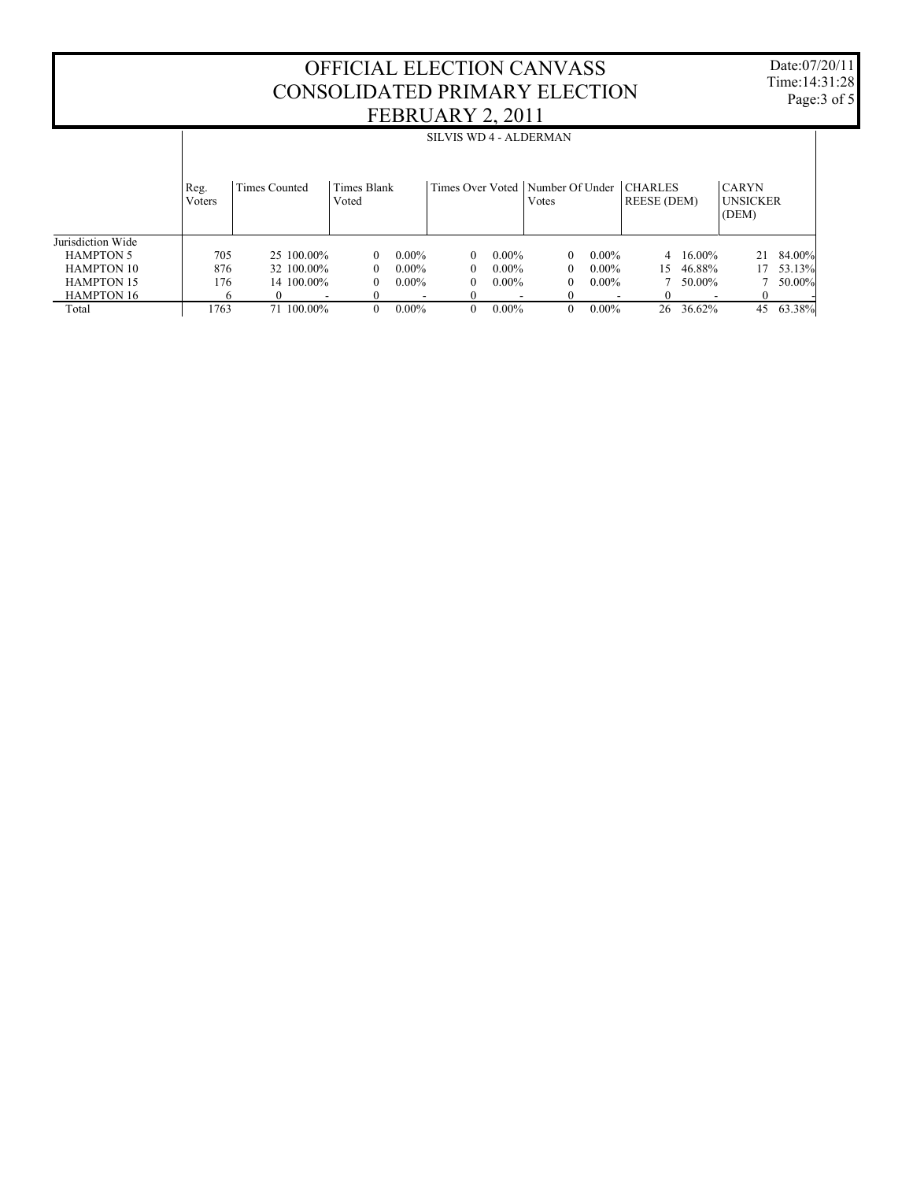Date:07/20/11 Time:14:31:28 Page:3 of 5

|                   | SILVIS WD 4 - ALDERMAN |                          |                      |                          |                                    |          |          |          |                               |                          |                                          |        |
|-------------------|------------------------|--------------------------|----------------------|--------------------------|------------------------------------|----------|----------|----------|-------------------------------|--------------------------|------------------------------------------|--------|
|                   | Reg.<br>Voters         | Times Counted            | Times Blank<br>Voted |                          | Times Over Voted   Number Of Under |          | Votes    |          | <b>CHARLES</b><br>REESE (DEM) |                          | <b>CARYN</b><br><b>UNSICKER</b><br>(DEM) |        |
| Jurisdiction Wide |                        |                          |                      |                          |                                    |          |          |          |                               |                          |                                          |        |
| <b>HAMPTON 5</b>  | 705                    | 25 100.00%               | $\Omega$             | $0.00\%$                 | $\Omega$                           | $0.00\%$ | $\theta$ | $0.00\%$ |                               | $4\quad 16.00\%$         | 21                                       | 84.00% |
| <b>HAMPTON 10</b> | 876                    | 32 100,00%               | $\Omega$             | $0.00\%$                 | 0                                  | $0.00\%$ | 0        | $0.00\%$ | 15                            | 46.88%                   | 17                                       | 53.13% |
| <b>HAMPTON 15</b> | 176                    | 14 100.00%               | $\Omega$             | $0.00\%$                 | 0                                  | $0.00\%$ | $\theta$ | $0.00\%$ |                               | 50.00%                   |                                          | 50.00% |
| <b>HAMPTON 16</b> | h                      | $\overline{\phantom{a}}$ |                      | $\overline{\phantom{a}}$ |                                    |          | $\theta$ | -        | $\Omega$                      | $\overline{\phantom{a}}$ |                                          |        |
| Total             | 1763                   | 71 100,00%               | 0                    | $0.00\%$                 | $\theta$                           | $0.00\%$ | $\theta$ | $0.00\%$ | 26                            | 36.62%                   | 45                                       | 63.38% |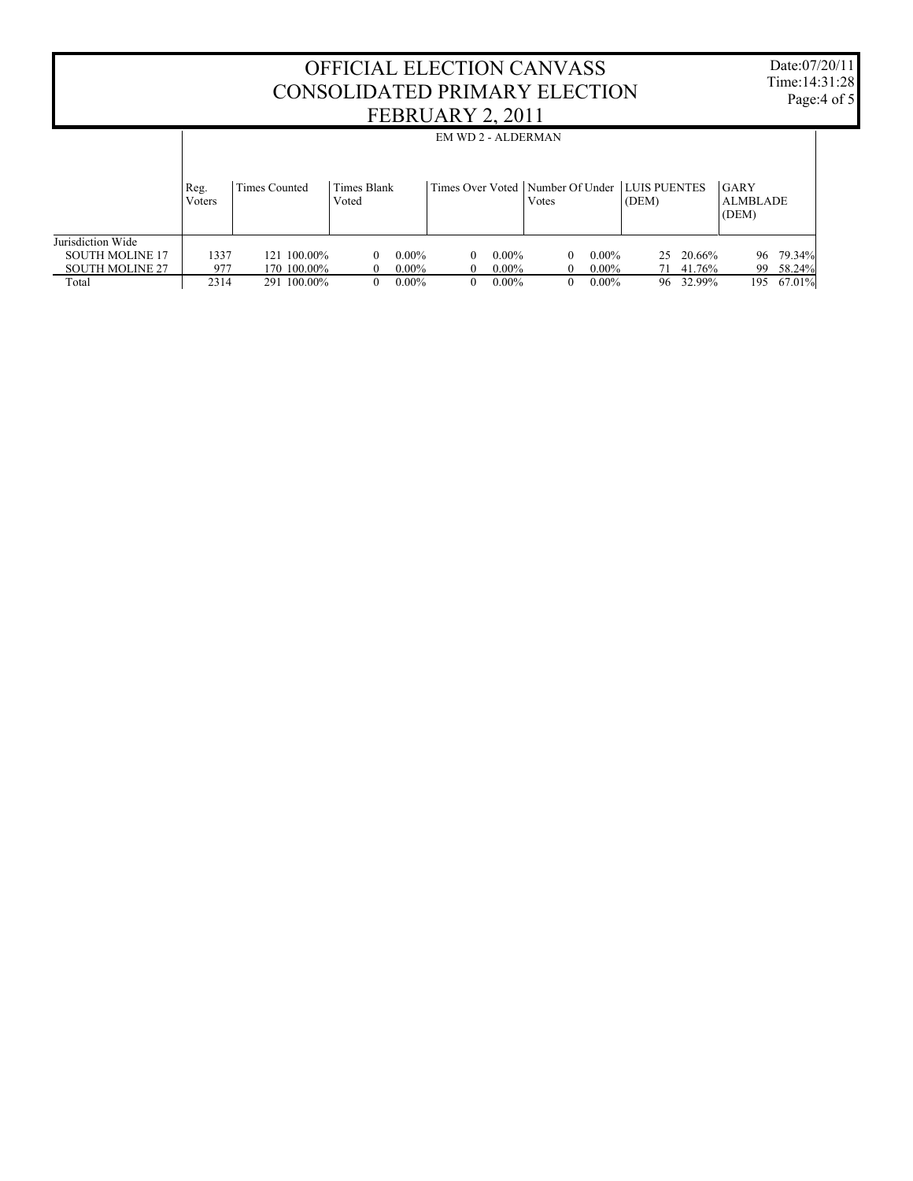|                        | <b>EM WD 2 - ALDERMAN</b> |               |                      |          |          |          |                                                            |          |       |           |                                  |        |
|------------------------|---------------------------|---------------|----------------------|----------|----------|----------|------------------------------------------------------------|----------|-------|-----------|----------------------------------|--------|
|                        | Reg.<br>Voters            | Times Counted | Times Blank<br>Voted |          |          |          | Times Over Voted   Number Of Under   LUIS PUENTES<br>Votes |          | (DEM) |           | GARY<br><b>ALMBLADE</b><br>(DEM) |        |
| Jurisdiction Wide      |                           |               |                      |          |          |          |                                                            |          |       |           |                                  |        |
| <b>SOUTH MOLINE 17</b> | 1337                      | 121 100.00%   | $\Omega$             | $0.00\%$ | $\Omega$ | $0.00\%$ | 0                                                          | $0.00\%$ |       | 25 20.66% | 96                               | 79.34% |
| <b>SOUTH MOLINE 27</b> | 977                       | 170 100,00%   | $\theta$             | $0.00\%$ |          | $0.00\%$ | $\overline{0}$                                             | $0.00\%$ | 71    | 41.76%    | 99                               | 58.24% |
| Total                  | 2314                      | 291 100.00%   | $\Omega$             | $0.00\%$ | 0        | $0.00\%$ | $\overline{0}$                                             | $0.00\%$ |       | 96 32.99% | 195                              | 67.01% |